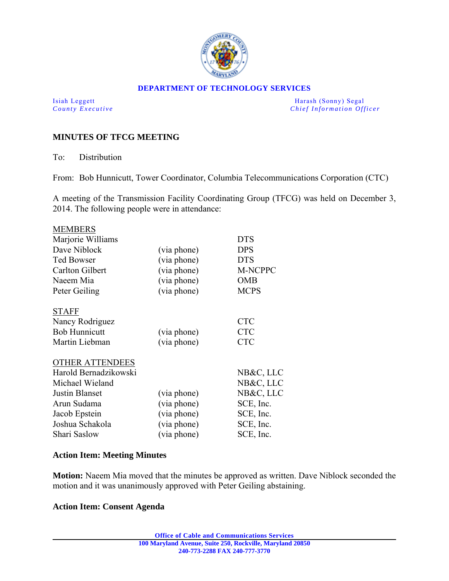

### **DEPARTMENT OF TECHNOLOGY SERVICES**

Isiah Leggett Harash (Sonny) Segal *County Executive* **County**  $\overline{C}$  *Chief Information Officer* 

# **MINUTES OF TFCG MEETING**

To: Distribution

From: Bob Hunnicutt, Tower Coordinator, Columbia Telecommunications Corporation (CTC)

A meeting of the Transmission Facility Coordinating Group (TFCG) was held on December 3, 2014. The following people were in attendance:

| <b>MEMBERS</b>         |             |                |
|------------------------|-------------|----------------|
| Marjorie Williams      |             | <b>DTS</b>     |
| Dave Niblock           | (via phone) | <b>DPS</b>     |
| <b>Ted Bowser</b>      | (via phone) | <b>DTS</b>     |
| Carlton Gilbert        | (via phone) | <b>M-NCPPC</b> |
| Naeem Mia              | (via phone) | <b>OMB</b>     |
| Peter Geiling          | (via phone) | <b>MCPS</b>    |
| <b>STAFF</b>           |             |                |
| Nancy Rodriguez        |             | <b>CTC</b>     |
| <b>Bob Hunnicutt</b>   | (via phone) | <b>CTC</b>     |
| Martin Liebman         | (via phone) | <b>CTC</b>     |
| <b>OTHER ATTENDEES</b> |             |                |
| Harold Bernadzikowski  |             | NB&C, LLC      |
| Michael Wieland        |             | NB&C, LLC      |
| <b>Justin Blanset</b>  | (via phone) | NB&C, LLC      |
| Arun Sudama            | (via phone) | SCE, Inc.      |
| Jacob Epstein          | (via phone) | SCE, Inc.      |
| Joshua Schakola        | (via phone) | SCE, Inc.      |
| Shari Saslow           | (via phone) | SCE, Inc.      |

## **Action Item: Meeting Minutes**

**Motion:** Naeem Mia moved that the minutes be approved as written. Dave Niblock seconded the motion and it was unanimously approved with Peter Geiling abstaining.

## **Action Item: Consent Agenda**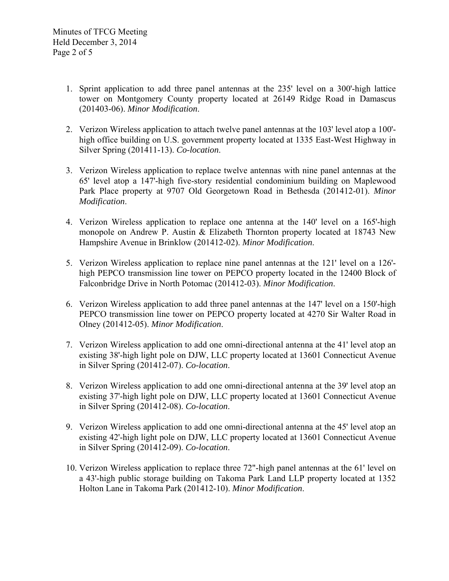- 1. Sprint application to add three panel antennas at the 235' level on a 300'-high lattice tower on Montgomery County property located at 26149 Ridge Road in Damascus (201403-06). *Minor Modification*.
- 2. Verizon Wireless application to attach twelve panel antennas at the 103' level atop a 100' high office building on U.S. government property located at 1335 East-West Highway in Silver Spring (201411-13). *Co-location*.
- 3. Verizon Wireless application to replace twelve antennas with nine panel antennas at the 65' level atop a 147'-high five-story residential condominium building on Maplewood Park Place property at 9707 Old Georgetown Road in Bethesda (201412-01). *Minor Modification*.
- 4. Verizon Wireless application to replace one antenna at the 140' level on a 165'-high monopole on Andrew P. Austin & Elizabeth Thornton property located at 18743 New Hampshire Avenue in Brinklow (201412-02). *Minor Modification*.
- 5. Verizon Wireless application to replace nine panel antennas at the 121' level on a 126' high PEPCO transmission line tower on PEPCO property located in the 12400 Block of Falconbridge Drive in North Potomac (201412-03). *Minor Modification*.
- 6. Verizon Wireless application to add three panel antennas at the 147' level on a 150'-high PEPCO transmission line tower on PEPCO property located at 4270 Sir Walter Road in Olney (201412-05). *Minor Modification*.
- 7. Verizon Wireless application to add one omni-directional antenna at the 41' level atop an existing 38'-high light pole on DJW, LLC property located at 13601 Connecticut Avenue in Silver Spring (201412-07). *Co-location*.
- 8. Verizon Wireless application to add one omni-directional antenna at the 39' level atop an existing 37'-high light pole on DJW, LLC property located at 13601 Connecticut Avenue in Silver Spring (201412-08). *Co-location*.
- 9. Verizon Wireless application to add one omni-directional antenna at the 45' level atop an existing 42'-high light pole on DJW, LLC property located at 13601 Connecticut Avenue in Silver Spring (201412-09). *Co-location*.
- 10. Verizon Wireless application to replace three 72"-high panel antennas at the 61' level on a 43'-high public storage building on Takoma Park Land LLP property located at 1352 Holton Lane in Takoma Park (201412-10). *Minor Modification*.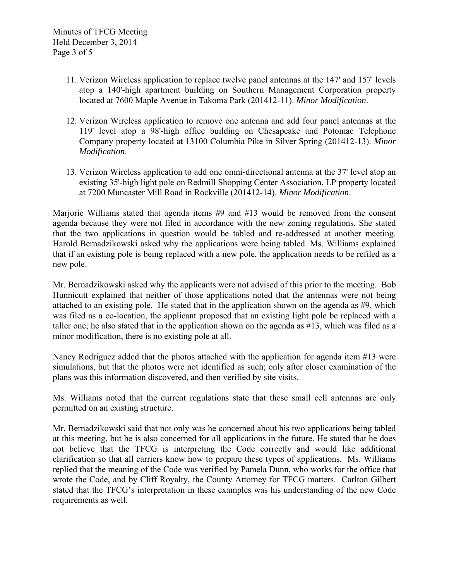- 11. Verizon Wireless application to replace twelve panel antennas at the 147' and 157' levels atop a 140'-high apartment building on Southern Management Corporation property located at 7600 Maple Avenue in Takoma Park (201412-11). *Minor Modification*.
- 12. Verizon Wireless application to remove one antenna and add four panel antennas at the 119' level atop a 98'-high office building on Chesapeake and Potomac Telephone Company property located at 13100 Columbia Pike in Silver Spring (201412-13). *Minor Modification*.
- 13. Verizon Wireless application to add one omni-directional antenna at the 37 level atop an existing 35'-high light pole on Redmill Shopping Center Association, LP property located at 7200 Muncaster Mill Road in Rockville (201412-14). *Minor Modification*.

Marjorie Williams stated that agenda items #9 and #13 would be removed from the consent agenda because they were not filed in accordance with the new zoning regulations. She stated that the two applications in question would be tabled and re-addressed at another meeting. Harold Bernadzikowski asked why the applications were being tabled. Ms. Williams explained that if an existing pole is being replaced with a new pole, the application needs to be refiled as a new pole.

Mr. Bernadzikowski asked why the applicants were not advised of this prior to the meeting. Bob Hunnicutt explained that neither of those applications noted that the antennas were not being attached to an existing pole. He stated that in the application shown on the agenda as #9, which was filed as a co-location, the applicant proposed that an existing light pole be replaced with a taller one; he also stated that in the application shown on the agenda as #13, which was filed as a minor modification, there is no existing pole at all.

Nancy Rodriguez added that the photos attached with the application for agenda item #13 were simulations, but that the photos were not identified as such; only after closer examination of the plans was this information discovered, and then verified by site visits.

Ms. Williams noted that the current regulations state that these small cell antennas are only permitted on an existing structure.

Mr. Bernadzikowski said that not only was he concerned about his two applications being tabled at this meeting, but he is also concerned for all applications in the future. He stated that he does not believe that the TFCG is interpreting the Code correctly and would like additional clarification so that all carriers know how to prepare these types of applications. Ms. Williams replied that the meaning of the Code was verified by Pamela Dunn, who works for the office that wrote the Code, and by Cliff Royalty, the County Attorney for TFCG matters. Carlton Gilbert stated that the TFCG's interpretation in these examples was his understanding of the new Code requirements as well.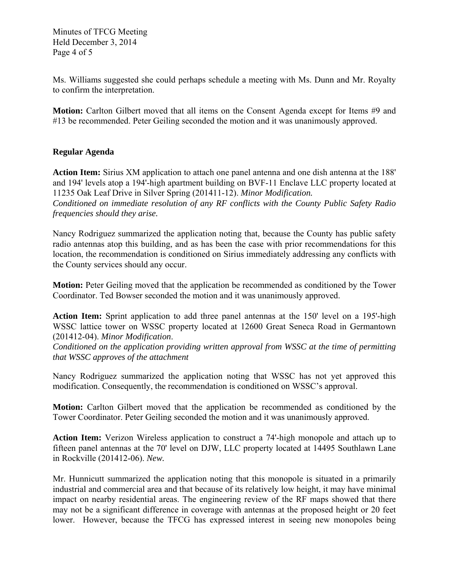Minutes of TFCG Meeting Held December 3, 2014 Page 4 of 5

Ms. Williams suggested she could perhaps schedule a meeting with Ms. Dunn and Mr. Royalty to confirm the interpretation.

**Motion:** Carlton Gilbert moved that all items on the Consent Agenda except for Items #9 and #13 be recommended. Peter Geiling seconded the motion and it was unanimously approved.

# **Regular Agenda**

**Action Item:** Sirius XM application to attach one panel antenna and one dish antenna at the 188' and 194' levels atop a 194'-high apartment building on BVF-11 Enclave LLC property located at 11235 Oak Leaf Drive in Silver Spring (201411-12). *Minor Modification. Conditioned on immediate resolution of any RF conflicts with the County Public Safety Radio frequencies should they arise.* 

Nancy Rodriguez summarized the application noting that, because the County has public safety radio antennas atop this building, and as has been the case with prior recommendations for this location, the recommendation is conditioned on Sirius immediately addressing any conflicts with the County services should any occur.

**Motion:** Peter Geiling moved that the application be recommended as conditioned by the Tower Coordinator. Ted Bowser seconded the motion and it was unanimously approved.

**Action Item:** Sprint application to add three panel antennas at the 150' level on a 195'-high WSSC lattice tower on WSSC property located at 12600 Great Seneca Road in Germantown (201412-04). *Minor Modification*.

*Conditioned on the application providing written approval from WSSC at the time of permitting that WSSC approves of the attachment* 

Nancy Rodriguez summarized the application noting that WSSC has not yet approved this modification. Consequently, the recommendation is conditioned on WSSC's approval.

**Motion:** Carlton Gilbert moved that the application be recommended as conditioned by the Tower Coordinator. Peter Geiling seconded the motion and it was unanimously approved.

**Action Item:** Verizon Wireless application to construct a 74'-high monopole and attach up to fifteen panel antennas at the 70' level on DJW, LLC property located at 14495 Southlawn Lane in Rockville (201412-06). *New.*

Mr. Hunnicutt summarized the application noting that this monopole is situated in a primarily industrial and commercial area and that because of its relatively low height, it may have minimal impact on nearby residential areas. The engineering review of the RF maps showed that there may not be a significant difference in coverage with antennas at the proposed height or 20 feet lower. However, because the TFCG has expressed interest in seeing new monopoles being